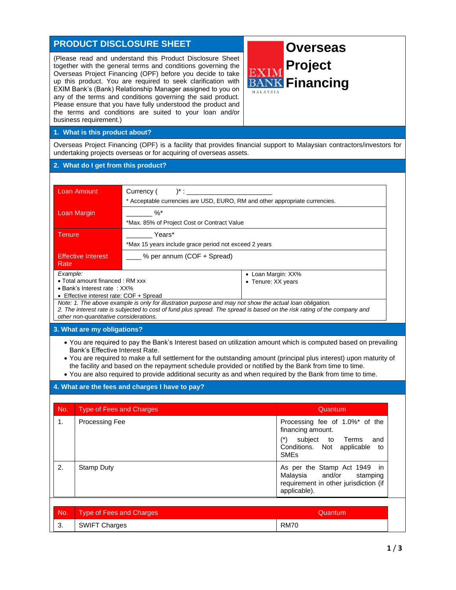# **PRODUCT DISCLOSURE SHEET**

(Please read and understand this Product Disclosure Sheet together with the general terms and conditions governing the Overseas Project Financing (OPF) before you decide to take up this product. You are required to seek clarification with EXIM Bank's (Bank) Relationship Manager assigned to you on any of the terms and conditions governing the said product. Please ensure that you have fully understood the product and the terms and conditions are suited to your loan and/or business requirement.)



## **1. What is this product about?**

Overseas Project Financing (OPF) is a facility that provides financial support to Malaysian contractors/investors for undertaking projects overseas or for acquiring of overseas assets.

#### **2. What do I get from this product?**

| Loan Amount                                                                 | $^{\ast}$ :<br>Currency (<br>* Acceptable currencies are USD, EURO, RM and other appropriate currencies. |                                          |  |
|-----------------------------------------------------------------------------|----------------------------------------------------------------------------------------------------------|------------------------------------------|--|
| Loan Margin                                                                 | $\%$<br>*Max. 85% of Project Cost or Contract Value                                                      |                                          |  |
| Tenure.                                                                     | Years*<br>*Max 15 years include grace period not exceed 2 years                                          |                                          |  |
| <b>Effective Interest</b><br>Rate                                           | % per annum (COF + Spread)                                                                               |                                          |  |
| Example:<br>• Total amount financed : RM xxx<br>• Bank's Interest rate: XX% |                                                                                                          | • Loan Margin: XX%<br>• Tenure: XX years |  |

• Effective interest rate: COF + Spread

*Note: 1. The above example is only for illustration purpose and may not show the actual loan obligation. 2. The interest rate is subjected to cost of fund plus spread. The spread is based on the risk rating of the company and other non-quantitative considerations.*

# **3. What are my obligations?**

- You are required to pay the Bank's Interest based on utilization amount which is computed based on prevailing Bank's Effective Interest Rate.
- You are required to make a full settlement for the outstanding amount (principal plus interest) upon maturity of the facility and based on the repayment schedule provided or notified by the Bank from time to time.
- You are also required to provide additional security as and when required by the Bank from time to time.

#### **4. What are the fees and charges I have to pay?**

| No.            | <b>Type of Fees and Charges</b> | Quantum                                                                                                           |
|----------------|---------------------------------|-------------------------------------------------------------------------------------------------------------------|
| $\mathbf{1}$ . | <b>Processing Fee</b>           | Processing fee of 1.0%* of the<br>financing amount.                                                               |
|                |                                 | $(*)$<br>subject to Terms<br>and<br>Conditions. Not applicable to<br><b>SME<sub>s</sub></b>                       |
| 2.             | <b>Stamp Duty</b>               | As per the Stamp Act 1949 in<br>Malaysia and/or stamping<br>requirement in other jurisdiction (if<br>applicable). |
|                |                                 |                                                                                                                   |
| No.            | <b>Type of Fees and Charges</b> | Quantum                                                                                                           |

| 3. | SWIFT Charges RM70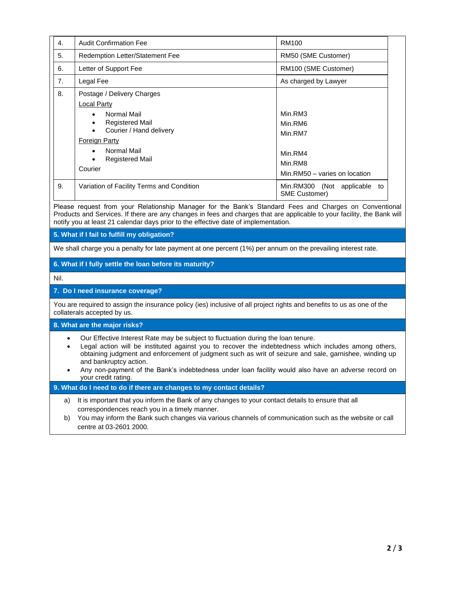| $\mathbf{4}$ . | <b>Audit Confirmation Fee</b>                                                                                                                                                                                                                                     | RM100                                                                                |
|----------------|-------------------------------------------------------------------------------------------------------------------------------------------------------------------------------------------------------------------------------------------------------------------|--------------------------------------------------------------------------------------|
| 5.             | Redemption Letter/Statement Fee                                                                                                                                                                                                                                   | RM50 (SME Customer)                                                                  |
| 6.             | Letter of Support Fee                                                                                                                                                                                                                                             | RM100 (SME Customer)                                                                 |
| 7.             | Legal Fee                                                                                                                                                                                                                                                         | As charged by Lawyer                                                                 |
| 8.             | Postage / Delivery Charges<br><b>Local Party</b><br>Normal Mail<br>$\bullet$<br><b>Registered Mail</b><br>$\bullet$<br>Courier / Hand delivery<br>$\bullet$<br><b>Foreign Party</b><br>Normal Mail<br>$\bullet$<br><b>Registered Mail</b><br>$\bullet$<br>Courier | Min.RM3<br>Min.RM6<br>Min.RM7<br>Min.RM4<br>Min.RM8<br>Min.RM50 - varies on location |
| 9.             | Variation of Facility Terms and Condition                                                                                                                                                                                                                         | Min.RM300 (Not applicable<br>to<br><b>SME Customer)</b>                              |

Please request from your Relationship Manager for the Bank's Standard Fees and Charges on Conventional Products and Services. If there are any changes in fees and charges that are applicable to your facility, the Bank will notify you at least 21 calendar days prior to the effective date of implementation.

**5. What if I fail to fulfill my obligation?**

We shall charge you a penalty for late payment at one percent (1%) per annum on the prevailing interest rate.

## **6. What if I fully settle the loan before its maturity?**

Nil.

## **7. Do I need insurance coverage?**

You are required to assign the insurance policy (ies) inclusive of all project rights and benefits to us as one of the collaterals accepted by us.

#### **8. What are the major risks?**

- Our Effective Interest Rate may be subject to fluctuation during the loan tenure.
- Legal action will be instituted against you to recover the indebtedness which includes among others, obtaining judgment and enforcement of judgment such as writ of seizure and sale, garnishee, winding up and bankruptcy action.
- Any non-payment of the Bank's indebtedness under loan facility would also have an adverse record on your credit rating.

#### **9. What do I need to do if there are changes to my contact details?**

- a) It is important that you inform the Bank of any changes to your contact details to ensure that all correspondences reach you in a timely manner.
- b) You may inform the Bank such changes via various channels of communication such as the website or call centre at 03-2601 2000.